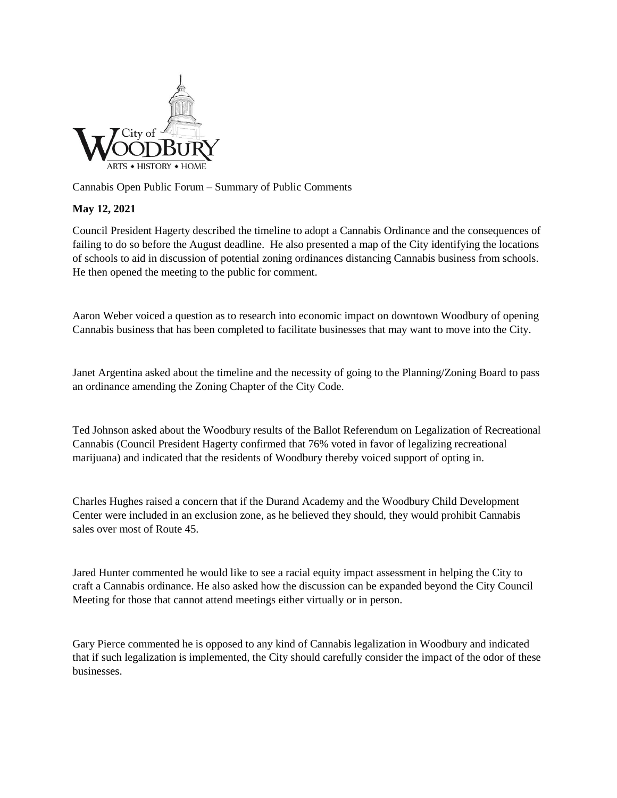

Cannabis Open Public Forum – Summary of Public Comments

## **May 12, 2021**

Council President Hagerty described the timeline to adopt a Cannabis Ordinance and the consequences of failing to do so before the August deadline. He also presented a map of the City identifying the locations of schools to aid in discussion of potential zoning ordinances distancing Cannabis business from schools. He then opened the meeting to the public for comment.

Aaron Weber voiced a question as to research into economic impact on downtown Woodbury of opening Cannabis business that has been completed to facilitate businesses that may want to move into the City.

Janet Argentina asked about the timeline and the necessity of going to the Planning/Zoning Board to pass an ordinance amending the Zoning Chapter of the City Code.

Ted Johnson asked about the Woodbury results of the Ballot Referendum on Legalization of Recreational Cannabis (Council President Hagerty confirmed that 76% voted in favor of legalizing recreational marijuana) and indicated that the residents of Woodbury thereby voiced support of opting in.

Charles Hughes raised a concern that if the Durand Academy and the Woodbury Child Development Center were included in an exclusion zone, as he believed they should, they would prohibit Cannabis sales over most of Route 45.

Jared Hunter commented he would like to see a racial equity impact assessment in helping the City to craft a Cannabis ordinance. He also asked how the discussion can be expanded beyond the City Council Meeting for those that cannot attend meetings either virtually or in person.

Gary Pierce commented he is opposed to any kind of Cannabis legalization in Woodbury and indicated that if such legalization is implemented, the City should carefully consider the impact of the odor of these businesses.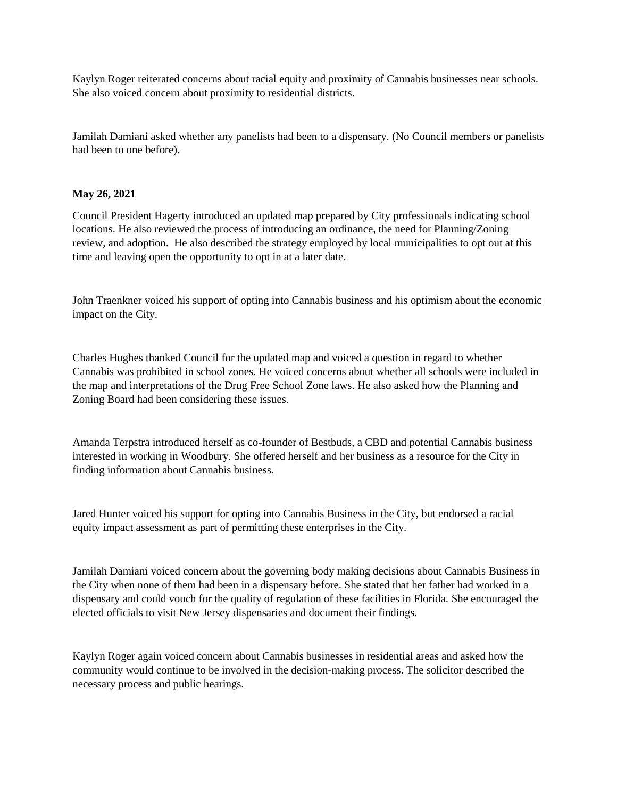Kaylyn Roger reiterated concerns about racial equity and proximity of Cannabis businesses near schools. She also voiced concern about proximity to residential districts.

Jamilah Damiani asked whether any panelists had been to a dispensary. (No Council members or panelists had been to one before).

## **May 26, 2021**

Council President Hagerty introduced an updated map prepared by City professionals indicating school locations. He also reviewed the process of introducing an ordinance, the need for Planning/Zoning review, and adoption. He also described the strategy employed by local municipalities to opt out at this time and leaving open the opportunity to opt in at a later date.

John Traenkner voiced his support of opting into Cannabis business and his optimism about the economic impact on the City.

Charles Hughes thanked Council for the updated map and voiced a question in regard to whether Cannabis was prohibited in school zones. He voiced concerns about whether all schools were included in the map and interpretations of the Drug Free School Zone laws. He also asked how the Planning and Zoning Board had been considering these issues.

Amanda Terpstra introduced herself as co-founder of Bestbuds, a CBD and potential Cannabis business interested in working in Woodbury. She offered herself and her business as a resource for the City in finding information about Cannabis business.

Jared Hunter voiced his support for opting into Cannabis Business in the City, but endorsed a racial equity impact assessment as part of permitting these enterprises in the City.

Jamilah Damiani voiced concern about the governing body making decisions about Cannabis Business in the City when none of them had been in a dispensary before. She stated that her father had worked in a dispensary and could vouch for the quality of regulation of these facilities in Florida. She encouraged the elected officials to visit New Jersey dispensaries and document their findings.

Kaylyn Roger again voiced concern about Cannabis businesses in residential areas and asked how the community would continue to be involved in the decision-making process. The solicitor described the necessary process and public hearings.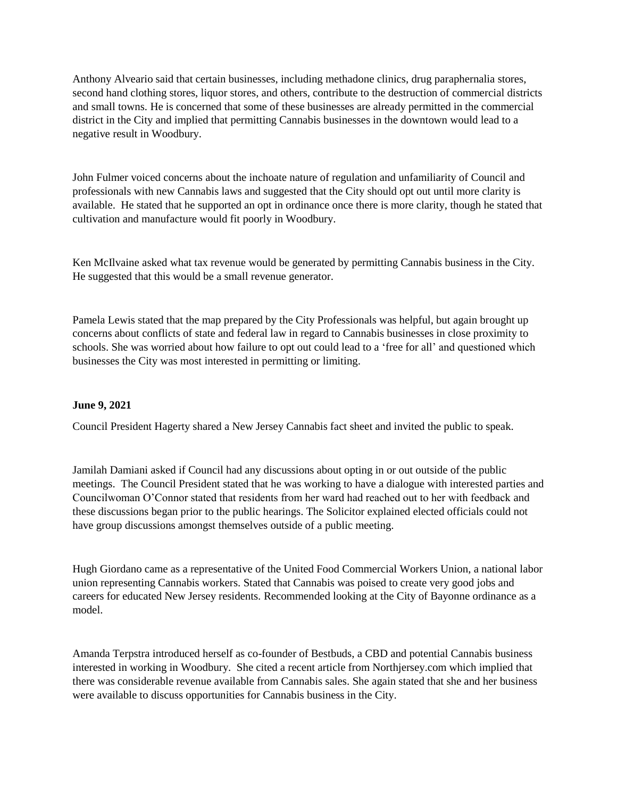Anthony Alveario said that certain businesses, including methadone clinics, drug paraphernalia stores, second hand clothing stores, liquor stores, and others, contribute to the destruction of commercial districts and small towns. He is concerned that some of these businesses are already permitted in the commercial district in the City and implied that permitting Cannabis businesses in the downtown would lead to a negative result in Woodbury.

John Fulmer voiced concerns about the inchoate nature of regulation and unfamiliarity of Council and professionals with new Cannabis laws and suggested that the City should opt out until more clarity is available. He stated that he supported an opt in ordinance once there is more clarity, though he stated that cultivation and manufacture would fit poorly in Woodbury.

Ken McIlvaine asked what tax revenue would be generated by permitting Cannabis business in the City. He suggested that this would be a small revenue generator.

Pamela Lewis stated that the map prepared by the City Professionals was helpful, but again brought up concerns about conflicts of state and federal law in regard to Cannabis businesses in close proximity to schools. She was worried about how failure to opt out could lead to a 'free for all' and questioned which businesses the City was most interested in permitting or limiting.

## **June 9, 2021**

Council President Hagerty shared a New Jersey Cannabis fact sheet and invited the public to speak.

Jamilah Damiani asked if Council had any discussions about opting in or out outside of the public meetings. The Council President stated that he was working to have a dialogue with interested parties and Councilwoman O'Connor stated that residents from her ward had reached out to her with feedback and these discussions began prior to the public hearings. The Solicitor explained elected officials could not have group discussions amongst themselves outside of a public meeting.

Hugh Giordano came as a representative of the United Food Commercial Workers Union, a national labor union representing Cannabis workers. Stated that Cannabis was poised to create very good jobs and careers for educated New Jersey residents. Recommended looking at the City of Bayonne ordinance as a model.

Amanda Terpstra introduced herself as co-founder of Bestbuds, a CBD and potential Cannabis business interested in working in Woodbury. She cited a recent article from Northjersey.com which implied that there was considerable revenue available from Cannabis sales. She again stated that she and her business were available to discuss opportunities for Cannabis business in the City.